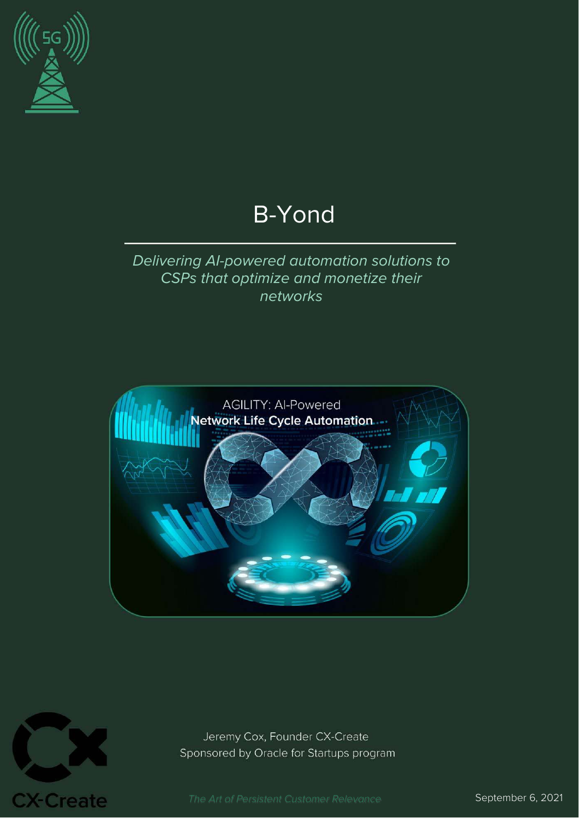

# B-Yond

### Delivering AI-powered automation solutions to CSPs that optimize and monetize their networks





Jeremy Cox, Founder CX-Create Sponsored by Oracle for Startups program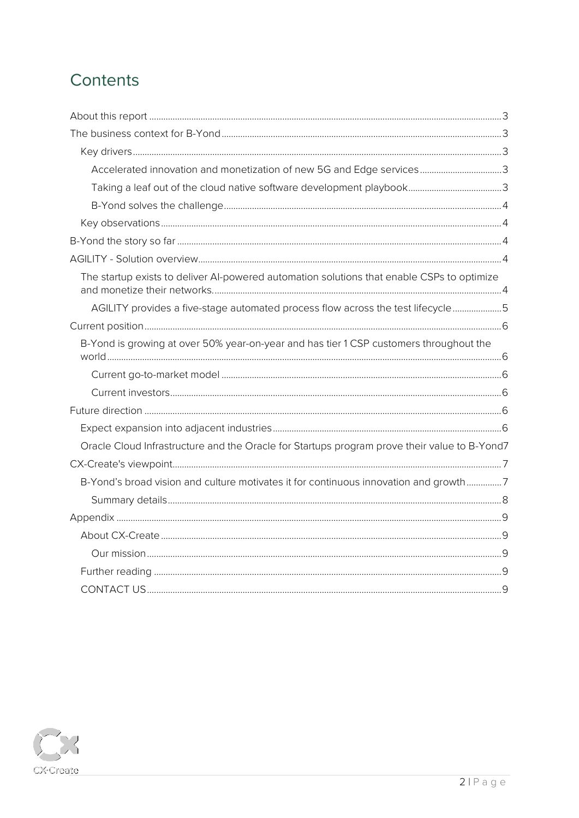# Contents

| Accelerated innovation and monetization of new 5G and Edge services3                         |  |  |  |
|----------------------------------------------------------------------------------------------|--|--|--|
|                                                                                              |  |  |  |
|                                                                                              |  |  |  |
|                                                                                              |  |  |  |
|                                                                                              |  |  |  |
|                                                                                              |  |  |  |
| The startup exists to deliver Al-powered automation solutions that enable CSPs to optimize   |  |  |  |
| AGILITY provides a five-stage automated process flow across the test lifecycle5              |  |  |  |
|                                                                                              |  |  |  |
| B-Yond is growing at over 50% year-on-year and has tier 1 CSP customers throughout the       |  |  |  |
|                                                                                              |  |  |  |
|                                                                                              |  |  |  |
|                                                                                              |  |  |  |
|                                                                                              |  |  |  |
| Oracle Cloud Infrastructure and the Oracle for Startups program prove their value to B-Yond7 |  |  |  |
|                                                                                              |  |  |  |
| B-Yond's broad vision and culture motivates it for continuous innovation and growth7         |  |  |  |
|                                                                                              |  |  |  |
|                                                                                              |  |  |  |
|                                                                                              |  |  |  |
|                                                                                              |  |  |  |
|                                                                                              |  |  |  |
|                                                                                              |  |  |  |

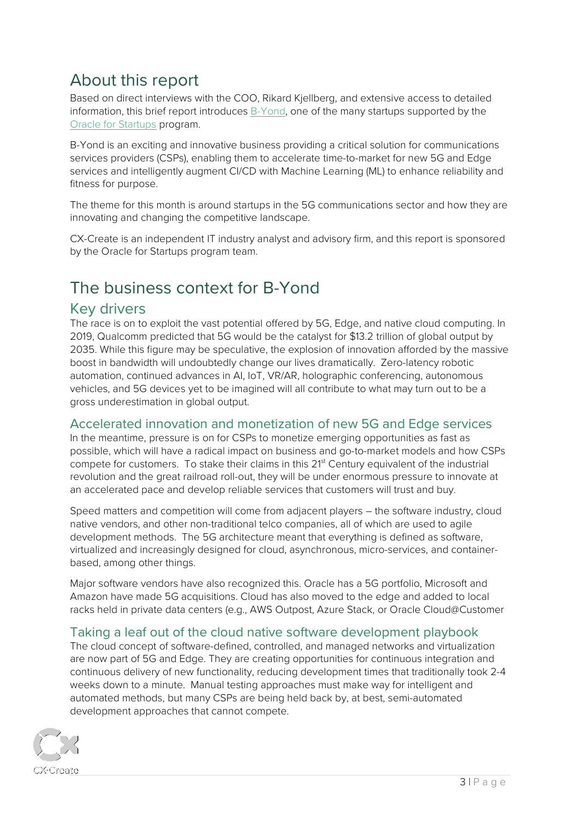# <span id="page-2-0"></span>About this report

Based on direct interviews with the COO, Rikard Kjellberg, and extensive access to detailed information, this brief report introduces [B-Yond,](http://www.b-yond.com/) one of the many startups supported by the [Oracle for Startups](http://www.oracle.com/startup) program.

B-Yond is an exciting and innovative business providing a critical solution for communications services providers (CSPs), enabling them to accelerate time-to-market for new 5G and Edge services and intelligently augment CI/CD with Machine Learning (ML) to enhance reliability and fitness for purpose.

The theme for this month is around startups in the 5G communications sector and how they are innovating and changing the competitive landscape.

CX-Create is an independent IT industry analyst and advisory firm, and this report is sponsored by the Oracle for Startups program team.

## <span id="page-2-1"></span>The business context for B-Yond

#### <span id="page-2-2"></span>Key drivers

The race is on to exploit the vast potential offered by 5G, Edge, and native cloud computing. In 2019, Qualcomm predicted that 5G would be the catalyst for \$13.2 trillion of global output by 2035. While this figure may be speculative, the explosion of innovation afforded by the massive boost in bandwidth will undoubtedly change our lives dramatically. Zero-latency robotic automation, continued advances in AI, IoT, VR/AR, holographic conferencing, autonomous vehicles, and 5G devices yet to be imagined will all contribute to what may turn out to be a gross underestimation in global output.

#### <span id="page-2-3"></span>Accelerated innovation and monetization of new 5G and Edge services

In the meantime, pressure is on for CSPs to monetize emerging opportunities as fast as possible, which will have a radical impact on business and go-to-market models and how CSPs compete for customers. To stake their claims in this 2<sup>1st</sup> Century equivalent of the industrial revolution and the great railroad roll-out, they will be under enormous pressure to innovate at an accelerated pace and develop reliable services that customers will trust and buy.

Speed matters and competition will come from adjacent players – the software industry, cloud native vendors, and other non-traditional telco companies, all of which are used to agile development methods. The 5G architecture meant that everything is defined as software, virtualized and increasingly designed for cloud, asynchronous, micro-services, and containerbased, among other things.

Major software vendors have also recognized this. Oracle has a 5G portfolio, Microsoft and Amazon have made 5G acquisitions. Cloud has also moved to the edge and added to local racks held in private data centers (e.g., AWS Outpost, Azure Stack, or Oracle Cloud@Customer

#### <span id="page-2-4"></span>Taking a leaf out of the cloud native software development playbook

The cloud concept of software-defined, controlled, and managed networks and virtualization are now part of 5G and Edge. They are creating opportunities for continuous integration and continuous delivery of new functionality, reducing development times that traditionally took 2-4 weeks down to a minute. Manual testing approaches must make way for intelligent and automated methods, but many CSPs are being held back by, at best, semi-automated development approaches that cannot compete.

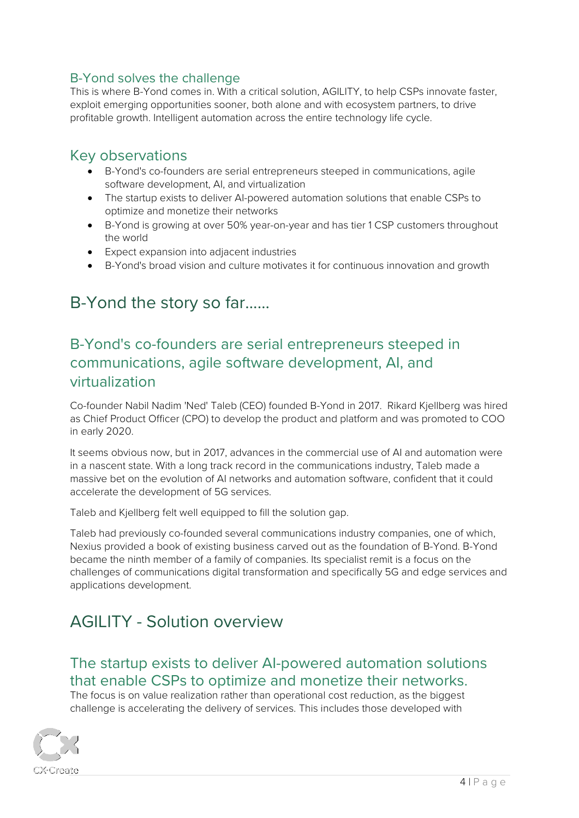#### <span id="page-3-0"></span>B-Yond solves the challenge

This is where B-Yond comes in. With a critical solution, AGILITY, to help CSPs innovate faster, exploit emerging opportunities sooner, both alone and with ecosystem partners, to drive profitable growth. Intelligent automation across the entire technology life cycle.

#### <span id="page-3-1"></span>Key observations

- B-Yond's co-founders are serial entrepreneurs steeped in communications, agile software development, AI, and virtualization
- The startup exists to deliver AI-powered automation solutions that enable CSPs to optimize and monetize their networks
- B-Yond is growing at over 50% year-on-year and has tier 1 CSP customers throughout the world
- Expect expansion into adjacent industries
- B-Yond's broad vision and culture motivates it for continuous innovation and growth

# <span id="page-3-2"></span>B-Yond the story so far……

### B-Yond's co-founders are serial entrepreneurs steeped in communications, agile software development, AI, and virtualization

Co-founder Nabil Nadim 'Ned' Taleb (CEO) founded B-Yond in 2017. Rikard Kjellberg was hired as Chief Product Officer (CPO) to develop the product and platform and was promoted to COO in early 2020.

It seems obvious now, but in 2017, advances in the commercial use of AI and automation were in a nascent state. With a long track record in the communications industry, Taleb made a massive bet on the evolution of AI networks and automation software, confident that it could accelerate the development of 5G services.

Taleb and Kjellberg felt well equipped to fill the solution gap.

Taleb had previously co-founded several communications industry companies, one of which, Nexius provided a book of existing business carved out as the foundation of B-Yond. B-Yond became the ninth member of a family of companies. Its specialist remit is a focus on the challenges of communications digital transformation and specifically 5G and edge services and applications development.

# <span id="page-3-3"></span>AGILITY - Solution overview

### <span id="page-3-4"></span>The startup exists to deliver AI-powered automation solutions that enable CSPs to optimize and monetize their networks.

The focus is on value realization rather than operational cost reduction, as the biggest challenge is accelerating the delivery of services. This includes those developed with

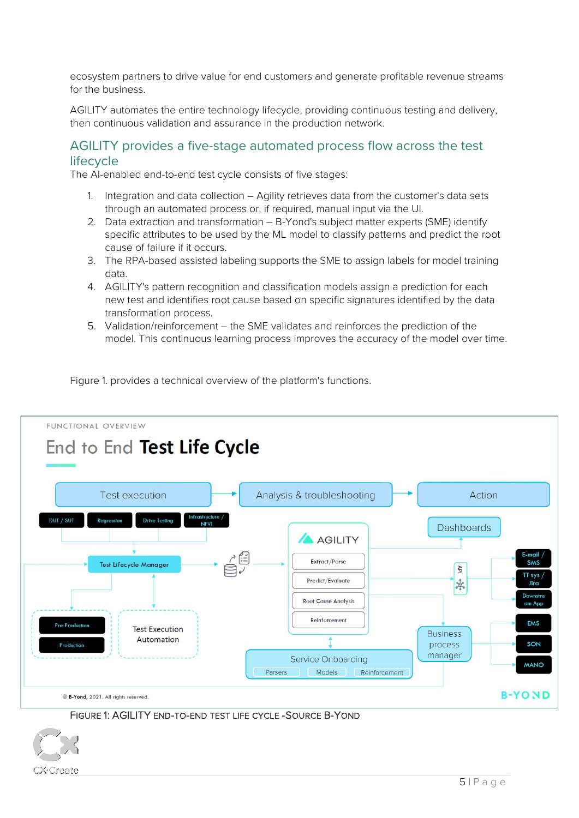ecosystem partners to drive value for end customers and generate profitable revenue streams for the business.

AGILITY automates the entire technology lifecycle, providing continuous testing and delivery, then continuous validation and assurance in the production network.

#### <span id="page-4-0"></span>AGILITY provides a five-stage automated process flow across the test lifecycle

The AI-enabled end-to-end test cycle consists of five stages:

- 1. Integration and data collection Agility retrieves data from the customer's data sets through an automated process or, if required, manual input via the UI.
- 2. Data extraction and transformation B-Yond's subject matter experts (SME) identify specific attributes to be used by the ML model to classify patterns and predict the root cause of failure if it occurs.
- 3. The RPA-based assisted labeling supports the SME to assign labels for model training data.
- 4. AGILITY's pattern recognition and classification models assign a prediction for each new test and identifies root cause based on specific signatures identified by the data transformation process.
- 5. Validation/reinforcement the SME validates and reinforces the prediction of the model. This continuous learning process improves the accuracy of the model over time.

Figure 1. provides a technical overview of the platform's functions.



#### FIGURE 1: AGILITY END-TO-END TEST LIFE CYCLE -SOURCE B-YOND

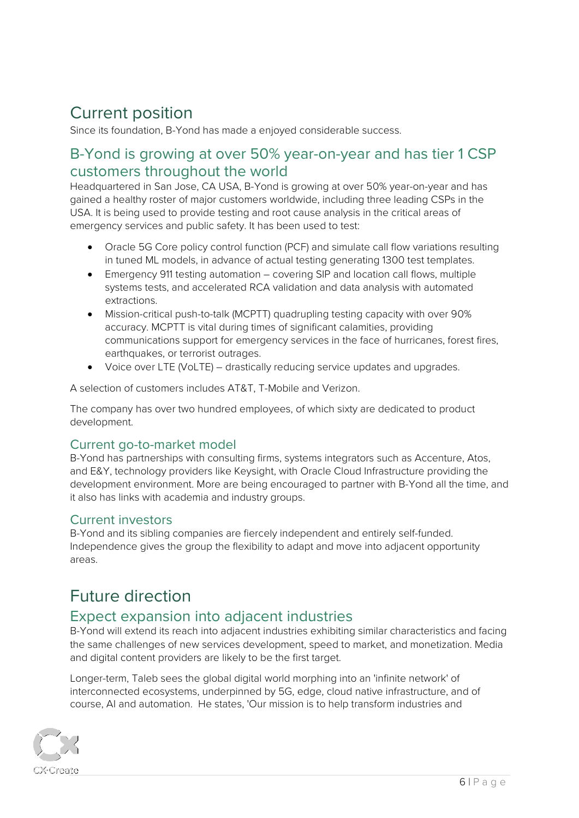# <span id="page-5-0"></span>Current position

Since its foundation, B-Yond has made a enjoyed considerable success.

### <span id="page-5-1"></span>B-Yond is growing at over 50% year-on-year and has tier 1 CSP customers throughout the world

Headquartered in San Jose, CA USA, B-Yond is growing at over 50% year-on-year and has gained a healthy roster of major customers worldwide, including three leading CSPs in the USA. It is being used to provide testing and root cause analysis in the critical areas of emergency services and public safety. It has been used to test:

- Oracle 5G Core policy control function (PCF) and simulate call flow variations resulting in tuned ML models, in advance of actual testing generating 1300 test templates.
- Emergency 911 testing automation covering SIP and location call flows, multiple systems tests, and accelerated RCA validation and data analysis with automated extractions.
- Mission-critical push-to-talk (MCPTT) quadrupling testing capacity with over 90% accuracy. MCPTT is vital during times of significant calamities, providing communications support for emergency services in the face of hurricanes, forest fires, earthquakes, or terrorist outrages.
- Voice over LTE (VoLTE) drastically reducing service updates and upgrades.

A selection of customers includes AT&T, T-Mobile and Verizon.

The company has over two hundred employees, of which sixty are dedicated to product development.

#### <span id="page-5-2"></span>Current go-to-market model

B-Yond has partnerships with consulting firms, systems integrators such as Accenture, Atos, and E&Y, technology providers like Keysight, with Oracle Cloud Infrastructure providing the development environment. More are being encouraged to partner with B-Yond all the time, and it also has links with academia and industry groups.

#### <span id="page-5-3"></span>Current investors

B-Yond and its sibling companies are fiercely independent and entirely self-funded. Independence gives the group the flexibility to adapt and move into adjacent opportunity areas.

### <span id="page-5-4"></span>Future direction

#### <span id="page-5-5"></span>Expect expansion into adjacent industries

B-Yond will extend its reach into adjacent industries exhibiting similar characteristics and facing the same challenges of new services development, speed to market, and monetization. Media and digital content providers are likely to be the first target.

Longer-term, Taleb sees the global digital world morphing into an 'infinite network' of interconnected ecosystems, underpinned by 5G, edge, cloud native infrastructure, and of course, AI and automation. He states, 'Our mission is to help transform industries and

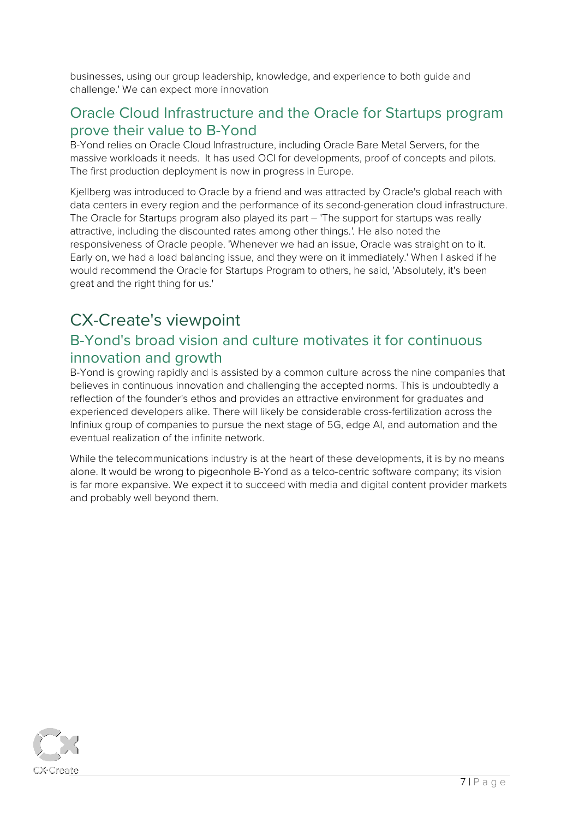businesses, using our group leadership, knowledge, and experience to both guide and challenge.' We can expect more innovation

### <span id="page-6-0"></span>Oracle Cloud Infrastructure and the Oracle for Startups program prove their value to B-Yond

B-Yond relies on Oracle Cloud Infrastructure, including Oracle Bare Metal Servers, for the massive workloads it needs. It has used OCI for developments, proof of concepts and pilots. The first production deployment is now in progress in Europe.

Kjellberg was introduced to Oracle by a friend and was attracted by Oracle's global reach with data centers in every region and the performance of its second-generation cloud infrastructure. The Oracle for Startups program also played its part – 'The support for startups was really attractive, including the discounted rates among other things.'. He also noted the responsiveness of Oracle people. 'Whenever we had an issue, Oracle was straight on to it. Early on, we had a load balancing issue, and they were on it immediately.' When I asked if he would recommend the Oracle for Startups Program to others, he said, 'Absolutely, it's been great and the right thing for us.'

# <span id="page-6-1"></span>CX-Create's viewpoint

### <span id="page-6-2"></span>B-Yond's broad vision and culture motivates it for continuous innovation and growth

B-Yond is growing rapidly and is assisted by a common culture across the nine companies that believes in continuous innovation and challenging the accepted norms. This is undoubtedly a reflection of the founder's ethos and provides an attractive environment for graduates and experienced developers alike. There will likely be considerable cross-fertilization across the Infiniux group of companies to pursue the next stage of 5G, edge AI, and automation and the eventual realization of the infinite network.

While the telecommunications industry is at the heart of these developments, it is by no means alone. It would be wrong to pigeonhole B-Yond as a telco-centric software company; its vision is far more expansive. We expect it to succeed with media and digital content provider markets and probably well beyond them.

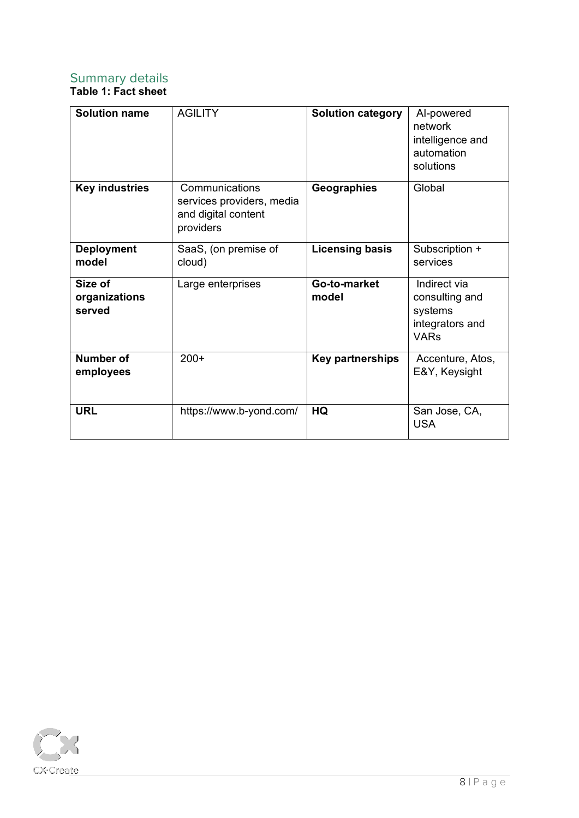### <span id="page-7-0"></span>Summary details

#### **Table 1: Fact sheet**

| <b>Solution name</b>               | <b>AGILITY</b>                                                                  | <b>Solution category</b> | Al-powered<br>network<br>intelligence and<br>automation<br>solutions        |
|------------------------------------|---------------------------------------------------------------------------------|--------------------------|-----------------------------------------------------------------------------|
| <b>Key industries</b>              | Communications<br>services providers, media<br>and digital content<br>providers | Geographies              | Global                                                                      |
| <b>Deployment</b><br>model         | SaaS, (on premise of<br>cloud)                                                  | <b>Licensing basis</b>   | Subscription +<br>services                                                  |
| Size of<br>organizations<br>served | Large enterprises                                                               | Go-to-market<br>model    | Indirect via<br>consulting and<br>systems<br>integrators and<br><b>VARs</b> |
| <b>Number of</b><br>employees      | $200+$                                                                          | <b>Key partnerships</b>  | Accenture, Atos,<br>E&Y, Keysight                                           |
| <b>URL</b>                         | https://www.b-yond.com/                                                         | HQ                       | San Jose, CA,<br><b>USA</b>                                                 |